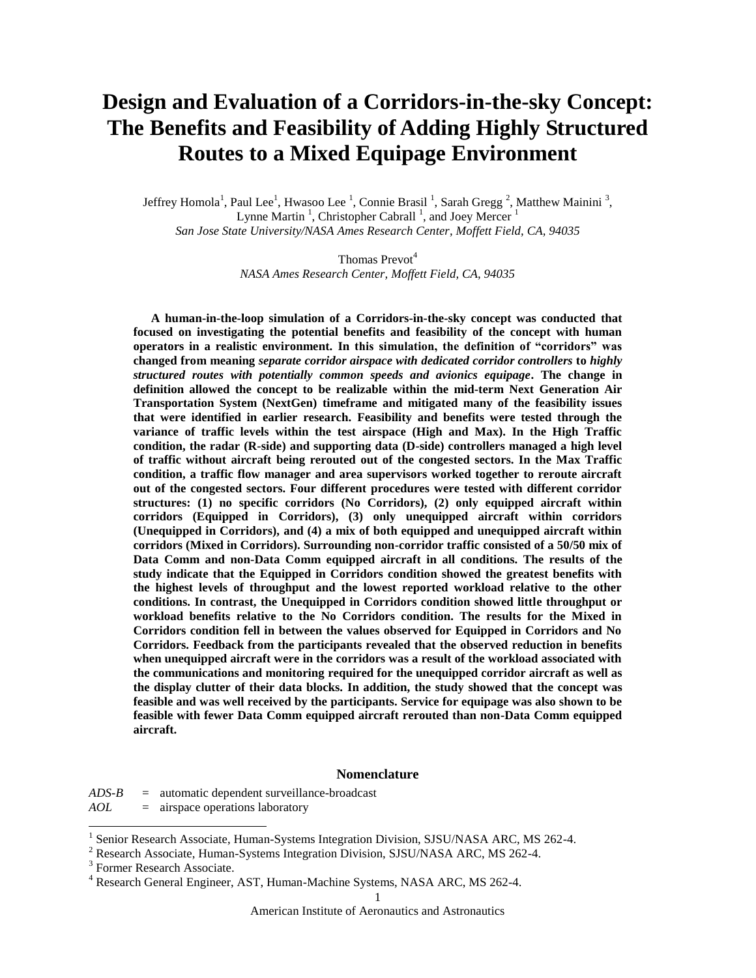## **Design and Evaluation of a Corridors-in-the-sky Concept: The Benefits and Feasibility of Adding Highly Structured Routes to a Mixed Equipage Environment**

Jeffrey Homola<sup>1</sup>, Paul Lee<sup>1</sup>, Hwasoo Lee<sup>1</sup>, Connie Brasil<sup>1</sup>, Sarah Gregg<sup>2</sup>, Matthew Mainini<sup>3</sup>, Lynne Martin<sup>1</sup>, Christopher Cabrall<sup>1</sup>, and Joey Mercer<sup>1</sup> *San Jose State University/NASA Ames Research Center, Moffett Field, CA, 94035*

> Thomas Prevot<sup>4</sup> *NASA Ames Research Center, Moffett Field, CA, 94035*

**A human-in-the-loop simulation of a Corridors-in-the-sky concept was conducted that focused on investigating the potential benefits and feasibility of the concept with human operators in a realistic environment. In this simulation, the definition of "corridors" was changed from meaning** *separate corridor airspace with dedicated corridor controllers* **to** *highly structured routes with potentially common speeds and avionics equipage***. The change in definition allowed the concept to be realizable within the mid-term Next Generation Air Transportation System (NextGen) timeframe and mitigated many of the feasibility issues that were identified in earlier research. Feasibility and benefits were tested through the variance of traffic levels within the test airspace (High and Max). In the High Traffic condition, the radar (R-side) and supporting data (D-side) controllers managed a high level of traffic without aircraft being rerouted out of the congested sectors. In the Max Traffic condition, a traffic flow manager and area supervisors worked together to reroute aircraft out of the congested sectors. Four different procedures were tested with different corridor structures: (1) no specific corridors (No Corridors), (2) only equipped aircraft within corridors (Equipped in Corridors), (3) only unequipped aircraft within corridors (Unequipped in Corridors), and (4) a mix of both equipped and unequipped aircraft within corridors (Mixed in Corridors). Surrounding non-corridor traffic consisted of a 50/50 mix of Data Comm and non-Data Comm equipped aircraft in all conditions. The results of the study indicate that the Equipped in Corridors condition showed the greatest benefits with the highest levels of throughput and the lowest reported workload relative to the other conditions. In contrast, the Unequipped in Corridors condition showed little throughput or workload benefits relative to the No Corridors condition. The results for the Mixed in Corridors condition fell in between the values observed for Equipped in Corridors and No Corridors. Feedback from the participants revealed that the observed reduction in benefits when unequipped aircraft were in the corridors was a result of the workload associated with the communications and monitoring required for the unequipped corridor aircraft as well as the display clutter of their data blocks. In addition, the study showed that the concept was feasible and was well received by the participants. Service for equipage was also shown to be feasible with fewer Data Comm equipped aircraft rerouted than non-Data Comm equipped aircraft.**

## **Nomenclature**

*ADS-B* = automatic dependent surveillance-broadcast *AOL* = airspace operations laboratory

 $\overline{a}$ 

<sup>&</sup>lt;sup>1</sup> Senior Research Associate, Human-Systems Integration Division, SJSU/NASA ARC, MS 262-4.

 $2$  Research Associate, Human-Systems Integration Division, SJSU/NASA ARC, MS 262-4.

<sup>&</sup>lt;sup>3</sup> Former Research Associate.

<sup>4</sup> Research General Engineer, AST, Human-Machine Systems, NASA ARC, MS 262-4.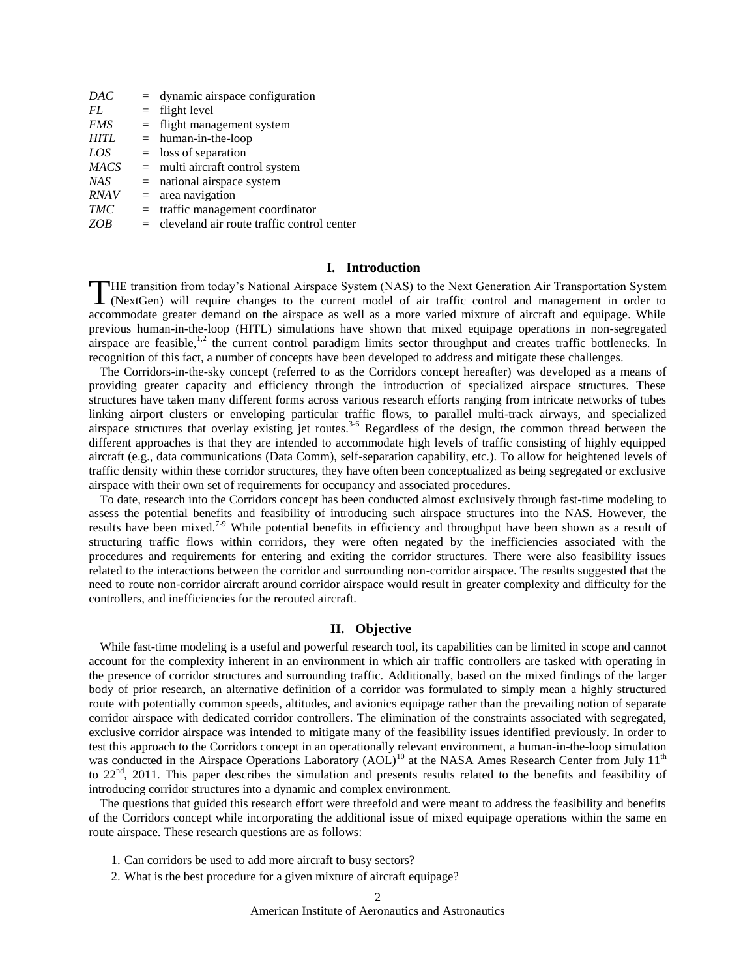| DAC         | $=$ dynamic airspace configuration             |
|-------------|------------------------------------------------|
| FL.         | $=$ flight level                               |
| FMS         | $=$ flight management system                   |
| <b>HITL</b> | $=$ human-in-the-loop                          |
| LOS         | $=$ loss of separation                         |
| <b>MACS</b> | $=$ multi aircraft control system              |
| NAS         | $=$ national airspace system                   |
| <b>RNAV</b> | $=$ area navigation                            |
| <b>TMC</b>  | $=$ traffic management coordinator             |
| <i>ZOB</i>  | $=$ cleveland air route traffic control center |

## **I. Introduction**

HE transition from today's National Airspace System (NAS) to the Next Generation Air Transportation System (NextGen) will require changes to the current model of air traffic control and management in order to THE transition from today's National Airspace System (NAS) to the Next Generation Air Transportation System (NextGen) will require changes to the current model of air traffic control and management in order to accommodate previous human-in-the-loop (HITL) simulations have shown that mixed equipage operations in non-segregated airspace are feasible,<sup>1,2</sup> the current control paradigm limits sector throughput and creates traffic bottlenecks. In recognition of this fact, a number of concepts have been developed to address and mitigate these challenges.

The Corridors-in-the-sky concept (referred to as the Corridors concept hereafter) was developed as a means of providing greater capacity and efficiency through the introduction of specialized airspace structures. These structures have taken many different forms across various research efforts ranging from intricate networks of tubes linking airport clusters or enveloping particular traffic flows, to parallel multi-track airways, and specialized airspace structures that overlay existing jet routes.<sup>3-6</sup> Regardless of the design, the common thread between the different approaches is that they are intended to accommodate high levels of traffic consisting of highly equipped aircraft (e.g., data communications (Data Comm), self-separation capability, etc.). To allow for heightened levels of traffic density within these corridor structures, they have often been conceptualized as being segregated or exclusive airspace with their own set of requirements for occupancy and associated procedures.

To date, research into the Corridors concept has been conducted almost exclusively through fast-time modeling to assess the potential benefits and feasibility of introducing such airspace structures into the NAS. However, the results have been mixed.<sup>7-9</sup> While potential benefits in efficiency and throughput have been shown as a result of structuring traffic flows within corridors, they were often negated by the inefficiencies associated with the procedures and requirements for entering and exiting the corridor structures. There were also feasibility issues related to the interactions between the corridor and surrounding non-corridor airspace. The results suggested that the need to route non-corridor aircraft around corridor airspace would result in greater complexity and difficulty for the controllers, and inefficiencies for the rerouted aircraft.

#### **II. Objective**

While fast-time modeling is a useful and powerful research tool, its capabilities can be limited in scope and cannot account for the complexity inherent in an environment in which air traffic controllers are tasked with operating in the presence of corridor structures and surrounding traffic. Additionally, based on the mixed findings of the larger body of prior research, an alternative definition of a corridor was formulated to simply mean a highly structured route with potentially common speeds, altitudes, and avionics equipage rather than the prevailing notion of separate corridor airspace with dedicated corridor controllers. The elimination of the constraints associated with segregated, exclusive corridor airspace was intended to mitigate many of the feasibility issues identified previously. In order to test this approach to the Corridors concept in an operationally relevant environment, a human-in-the-loop simulation was conducted in the Airspace Operations Laboratory (AOL)<sup>10</sup> at the NASA Ames Research Center from July 11<sup>th</sup> to 22<sup>nd</sup>, 2011. This paper describes the simulation and presents results related to the benefits and feasibility of introducing corridor structures into a dynamic and complex environment.

The questions that guided this research effort were threefold and were meant to address the feasibility and benefits of the Corridors concept while incorporating the additional issue of mixed equipage operations within the same en route airspace. These research questions are as follows:

- 1. Can corridors be used to add more aircraft to busy sectors?
- 2. What is the best procedure for a given mixture of aircraft equipage?

American Institute of Aeronautics and Astronautics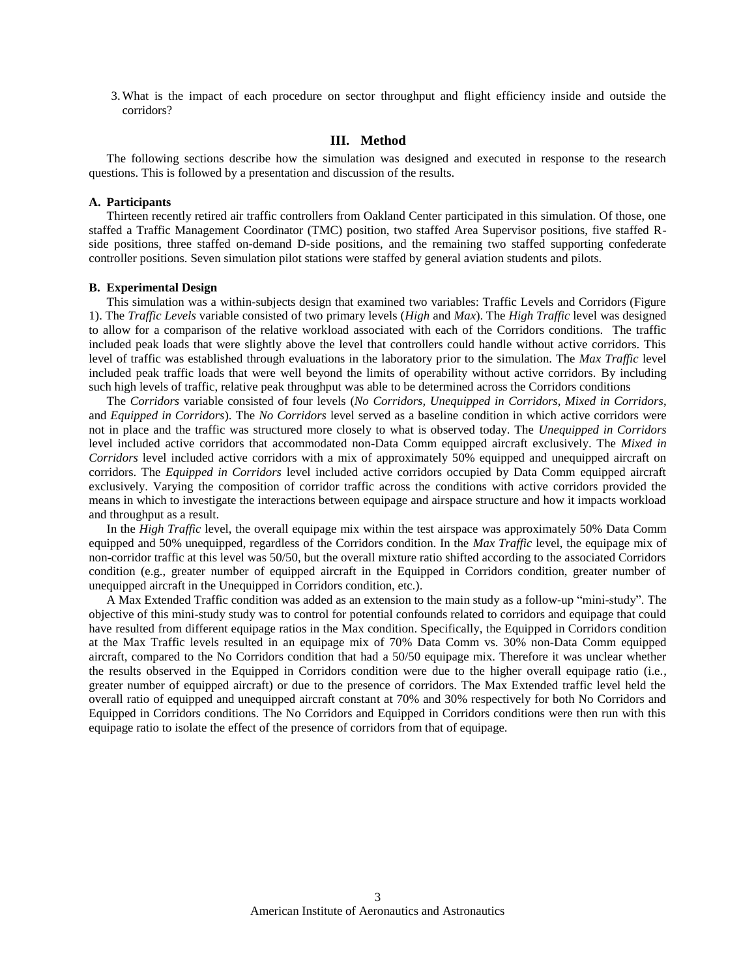3.What is the impact of each procedure on sector throughput and flight efficiency inside and outside the corridors?

#### **III. Method**

The following sections describe how the simulation was designed and executed in response to the research questions. This is followed by a presentation and discussion of the results.

#### **A. Participants**

Thirteen recently retired air traffic controllers from Oakland Center participated in this simulation. Of those, one staffed a Traffic Management Coordinator (TMC) position, two staffed Area Supervisor positions, five staffed Rside positions, three staffed on-demand D-side positions, and the remaining two staffed supporting confederate controller positions. Seven simulation pilot stations were staffed by general aviation students and pilots.

#### **B. Experimental Design**

This simulation was a within-subjects design that examined two variables: Traffic Levels and Corridors (Figure 1). The *Traffic Levels* variable consisted of two primary levels (*High* and *Max*). The *High Traffic* level was designed to allow for a comparison of the relative workload associated with each of the Corridors conditions. The traffic included peak loads that were slightly above the level that controllers could handle without active corridors. This level of traffic was established through evaluations in the laboratory prior to the simulation. The *Max Traffic* level included peak traffic loads that were well beyond the limits of operability without active corridors. By including such high levels of traffic, relative peak throughput was able to be determined across the Corridors conditions

The *Corridors* variable consisted of four levels (*No Corridors, Unequipped in Corridors*, *Mixed in Corridors*, and *Equipped in Corridors*). The *No Corridors* level served as a baseline condition in which active corridors were not in place and the traffic was structured more closely to what is observed today. The *Unequipped in Corridors* level included active corridors that accommodated non-Data Comm equipped aircraft exclusively. The *Mixed in Corridors* level included active corridors with a mix of approximately 50% equipped and unequipped aircraft on corridors. The *Equipped in Corridors* level included active corridors occupied by Data Comm equipped aircraft exclusively. Varying the composition of corridor traffic across the conditions with active corridors provided the means in which to investigate the interactions between equipage and airspace structure and how it impacts workload and throughput as a result.

In the *High Traffic* level, the overall equipage mix within the test airspace was approximately 50% Data Comm equipped and 50% unequipped, regardless of the Corridors condition. In the *Max Traffic* level, the equipage mix of non-corridor traffic at this level was 50/50, but the overall mixture ratio shifted according to the associated Corridors condition (e.g., greater number of equipped aircraft in the Equipped in Corridors condition, greater number of unequipped aircraft in the Unequipped in Corridors condition, etc.).

A Max Extended Traffic condition was added as an extension to the main study as a follow-up "mini-study". The objective of this mini-study study was to control for potential confounds related to corridors and equipage that could have resulted from different equipage ratios in the Max condition. Specifically, the Equipped in Corridors condition at the Max Traffic levels resulted in an equipage mix of 70% Data Comm vs. 30% non-Data Comm equipped aircraft, compared to the No Corridors condition that had a 50/50 equipage mix. Therefore it was unclear whether the results observed in the Equipped in Corridors condition were due to the higher overall equipage ratio (i.e., greater number of equipped aircraft) or due to the presence of corridors. The Max Extended traffic level held the overall ratio of equipped and unequipped aircraft constant at 70% and 30% respectively for both No Corridors and Equipped in Corridors conditions. The No Corridors and Equipped in Corridors conditions were then run with this equipage ratio to isolate the effect of the presence of corridors from that of equipage.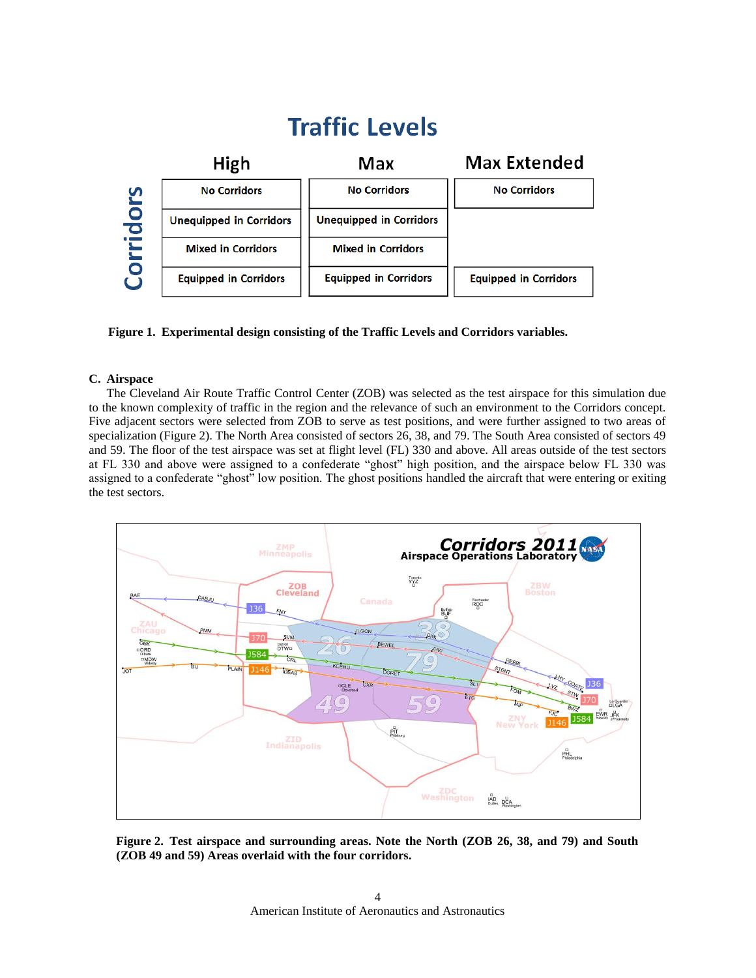# **Traffic Levels**



**Figure 1. Experimental design consisting of the Traffic Levels and Corridors variables.**

## **C. Airspace**

The Cleveland Air Route Traffic Control Center (ZOB) was selected as the test airspace for this simulation due to the known complexity of traffic in the region and the relevance of such an environment to the Corridors concept. Five adjacent sectors were selected from ZOB to serve as test positions, and were further assigned to two areas of specialization (Figure 2). The North Area consisted of sectors 26, 38, and 79. The South Area consisted of sectors 49 and 59. The floor of the test airspace was set at flight level (FL) 330 and above. All areas outside of the test sectors at FL 330 and above were assigned to a confederate "ghost" high position, and the airspace below FL 330 was assigned to a confederate "ghost" low position. The ghost positions handled the aircraft that were entering or exiting the test sectors.



**Figure 2. Test airspace and surrounding areas. Note the North (ZOB 26, 38, and 79) and South (ZOB 49 and 59) Areas overlaid with the four corridors.**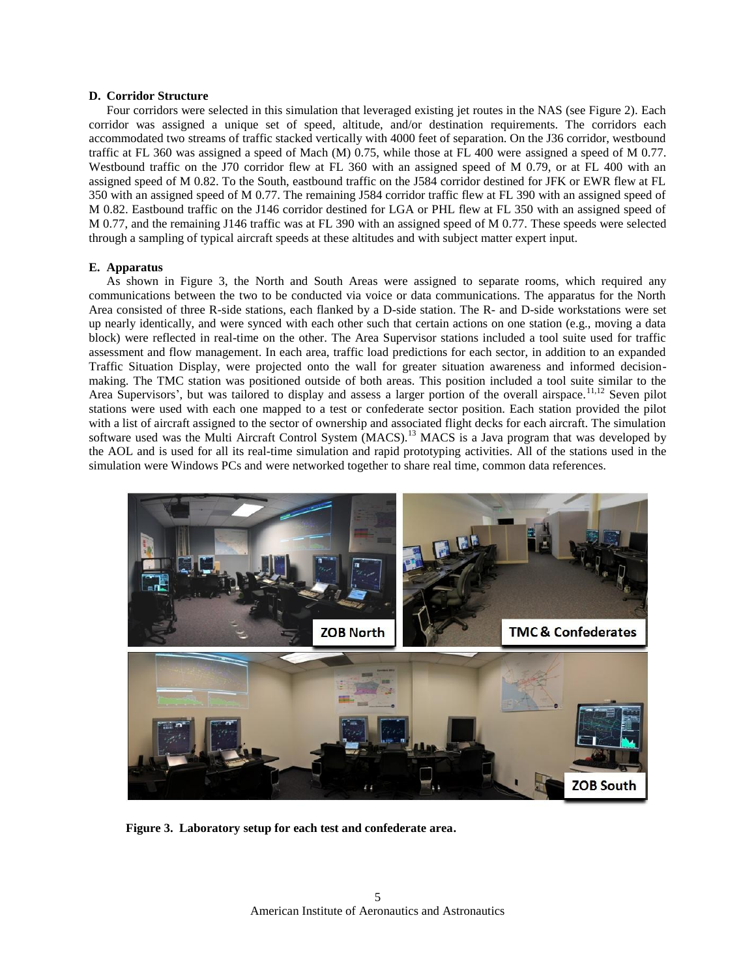#### **D. Corridor Structure**

Four corridors were selected in this simulation that leveraged existing jet routes in the NAS (see Figure 2). Each corridor was assigned a unique set of speed, altitude, and/or destination requirements. The corridors each accommodated two streams of traffic stacked vertically with 4000 feet of separation. On the J36 corridor, westbound traffic at FL 360 was assigned a speed of Mach (M) 0.75, while those at FL 400 were assigned a speed of M 0.77. Westbound traffic on the J70 corridor flew at FL 360 with an assigned speed of M 0.79, or at FL 400 with an assigned speed of M 0.82. To the South, eastbound traffic on the J584 corridor destined for JFK or EWR flew at FL 350 with an assigned speed of M 0.77. The remaining J584 corridor traffic flew at FL 390 with an assigned speed of M 0.82. Eastbound traffic on the J146 corridor destined for LGA or PHL flew at FL 350 with an assigned speed of M 0.77, and the remaining J146 traffic was at FL 390 with an assigned speed of M 0.77. These speeds were selected through a sampling of typical aircraft speeds at these altitudes and with subject matter expert input.

## **E. Apparatus**

As shown in Figure 3, the North and South Areas were assigned to separate rooms, which required any communications between the two to be conducted via voice or data communications. The apparatus for the North Area consisted of three R-side stations, each flanked by a D-side station. The R- and D-side workstations were set up nearly identically, and were synced with each other such that certain actions on one station (e.g., moving a data block) were reflected in real-time on the other. The Area Supervisor stations included a tool suite used for traffic assessment and flow management. In each area, traffic load predictions for each sector, in addition to an expanded Traffic Situation Display, were projected onto the wall for greater situation awareness and informed decisionmaking. The TMC station was positioned outside of both areas. This position included a tool suite similar to the Area Supervisors', but was tailored to display and assess a larger portion of the overall airspace.<sup>11,12</sup> Seven pilot stations were used with each one mapped to a test or confederate sector position. Each station provided the pilot with a list of aircraft assigned to the sector of ownership and associated flight decks for each aircraft. The simulation software used was the Multi Aircraft Control System (MACS).<sup>13</sup> MACS is a Java program that was developed by the AOL and is used for all its real-time simulation and rapid prototyping activities. All of the stations used in the simulation were Windows PCs and were networked together to share real time, common data references.



**Figure 3. Laboratory setup for each test and confederate area.**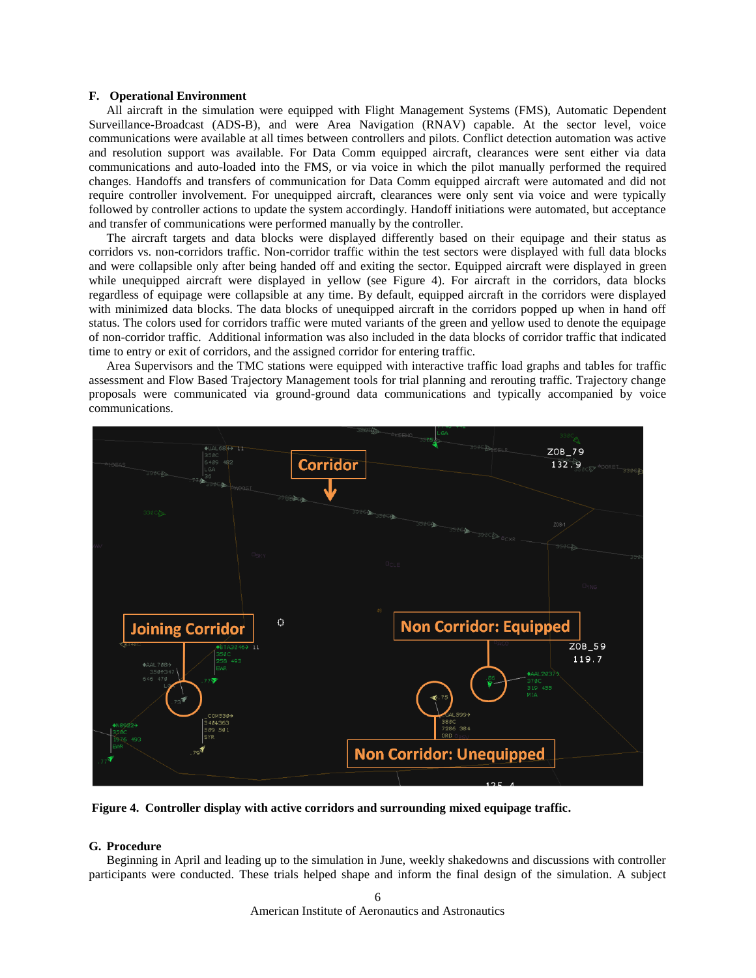#### **F. Operational Environment**

All aircraft in the simulation were equipped with Flight Management Systems (FMS), Automatic Dependent Surveillance-Broadcast (ADS-B), and were Area Navigation (RNAV) capable. At the sector level, voice communications were available at all times between controllers and pilots. Conflict detection automation was active and resolution support was available. For Data Comm equipped aircraft, clearances were sent either via data communications and auto-loaded into the FMS, or via voice in which the pilot manually performed the required changes. Handoffs and transfers of communication for Data Comm equipped aircraft were automated and did not require controller involvement. For unequipped aircraft, clearances were only sent via voice and were typically followed by controller actions to update the system accordingly. Handoff initiations were automated, but acceptance and transfer of communications were performed manually by the controller.

The aircraft targets and data blocks were displayed differently based on their equipage and their status as corridors vs. non-corridors traffic. Non-corridor traffic within the test sectors were displayed with full data blocks and were collapsible only after being handed off and exiting the sector. Equipped aircraft were displayed in green while unequipped aircraft were displayed in yellow (see Figure 4). For aircraft in the corridors, data blocks regardless of equipage were collapsible at any time. By default, equipped aircraft in the corridors were displayed with minimized data blocks. The data blocks of unequipped aircraft in the corridors popped up when in hand off status. The colors used for corridors traffic were muted variants of the green and yellow used to denote the equipage of non-corridor traffic. Additional information was also included in the data blocks of corridor traffic that indicated time to entry or exit of corridors, and the assigned corridor for entering traffic.

Area Supervisors and the TMC stations were equipped with interactive traffic load graphs and tables for traffic assessment and Flow Based Trajectory Management tools for trial planning and rerouting traffic. Trajectory change proposals were communicated via ground-ground data communications and typically accompanied by voice communications.



**Figure 4. Controller display with active corridors and surrounding mixed equipage traffic.**

## **G. Procedure**

Beginning in April and leading up to the simulation in June, weekly shakedowns and discussions with controller participants were conducted. These trials helped shape and inform the final design of the simulation. A subject

> American Institute of Aeronautics and Astronautics 6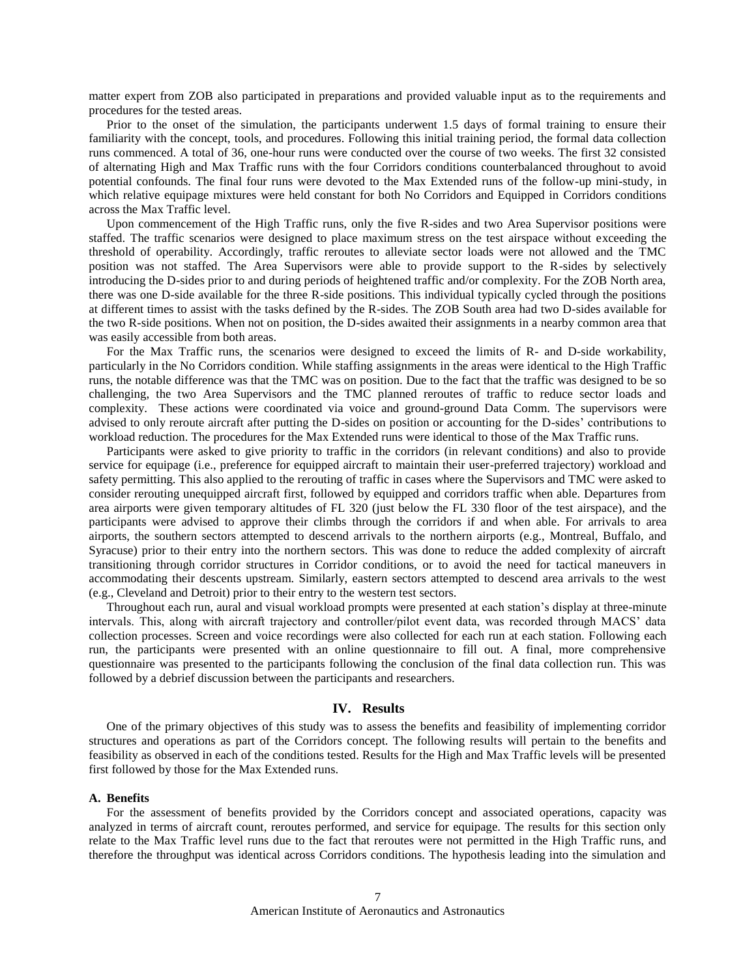matter expert from ZOB also participated in preparations and provided valuable input as to the requirements and procedures for the tested areas.

Prior to the onset of the simulation, the participants underwent 1.5 days of formal training to ensure their familiarity with the concept, tools, and procedures. Following this initial training period, the formal data collection runs commenced. A total of 36, one-hour runs were conducted over the course of two weeks. The first 32 consisted of alternating High and Max Traffic runs with the four Corridors conditions counterbalanced throughout to avoid potential confounds. The final four runs were devoted to the Max Extended runs of the follow-up mini-study, in which relative equipage mixtures were held constant for both No Corridors and Equipped in Corridors conditions across the Max Traffic level.

Upon commencement of the High Traffic runs, only the five R-sides and two Area Supervisor positions were staffed. The traffic scenarios were designed to place maximum stress on the test airspace without exceeding the threshold of operability. Accordingly, traffic reroutes to alleviate sector loads were not allowed and the TMC position was not staffed. The Area Supervisors were able to provide support to the R-sides by selectively introducing the D-sides prior to and during periods of heightened traffic and/or complexity. For the ZOB North area, there was one D-side available for the three R-side positions. This individual typically cycled through the positions at different times to assist with the tasks defined by the R-sides. The ZOB South area had two D-sides available for the two R-side positions. When not on position, the D-sides awaited their assignments in a nearby common area that was easily accessible from both areas.

For the Max Traffic runs, the scenarios were designed to exceed the limits of R- and D-side workability, particularly in the No Corridors condition. While staffing assignments in the areas were identical to the High Traffic runs, the notable difference was that the TMC was on position. Due to the fact that the traffic was designed to be so challenging, the two Area Supervisors and the TMC planned reroutes of traffic to reduce sector loads and complexity. These actions were coordinated via voice and ground-ground Data Comm. The supervisors were advised to only reroute aircraft after putting the D-sides on position or accounting for the D-sides' contributions to workload reduction. The procedures for the Max Extended runs were identical to those of the Max Traffic runs.

Participants were asked to give priority to traffic in the corridors (in relevant conditions) and also to provide service for equipage (i.e., preference for equipped aircraft to maintain their user-preferred trajectory) workload and safety permitting. This also applied to the rerouting of traffic in cases where the Supervisors and TMC were asked to consider rerouting unequipped aircraft first, followed by equipped and corridors traffic when able. Departures from area airports were given temporary altitudes of FL 320 (just below the FL 330 floor of the test airspace), and the participants were advised to approve their climbs through the corridors if and when able. For arrivals to area airports, the southern sectors attempted to descend arrivals to the northern airports (e.g., Montreal, Buffalo, and Syracuse) prior to their entry into the northern sectors. This was done to reduce the added complexity of aircraft transitioning through corridor structures in Corridor conditions, or to avoid the need for tactical maneuvers in accommodating their descents upstream. Similarly, eastern sectors attempted to descend area arrivals to the west (e.g., Cleveland and Detroit) prior to their entry to the western test sectors.

Throughout each run, aural and visual workload prompts were presented at each station's display at three-minute intervals. This, along with aircraft trajectory and controller/pilot event data, was recorded through MACS' data collection processes. Screen and voice recordings were also collected for each run at each station. Following each run, the participants were presented with an online questionnaire to fill out. A final, more comprehensive questionnaire was presented to the participants following the conclusion of the final data collection run. This was followed by a debrief discussion between the participants and researchers.

#### **IV. Results**

One of the primary objectives of this study was to assess the benefits and feasibility of implementing corridor structures and operations as part of the Corridors concept. The following results will pertain to the benefits and feasibility as observed in each of the conditions tested. Results for the High and Max Traffic levels will be presented first followed by those for the Max Extended runs.

#### **A. Benefits**

For the assessment of benefits provided by the Corridors concept and associated operations, capacity was analyzed in terms of aircraft count, reroutes performed, and service for equipage. The results for this section only relate to the Max Traffic level runs due to the fact that reroutes were not permitted in the High Traffic runs, and therefore the throughput was identical across Corridors conditions. The hypothesis leading into the simulation and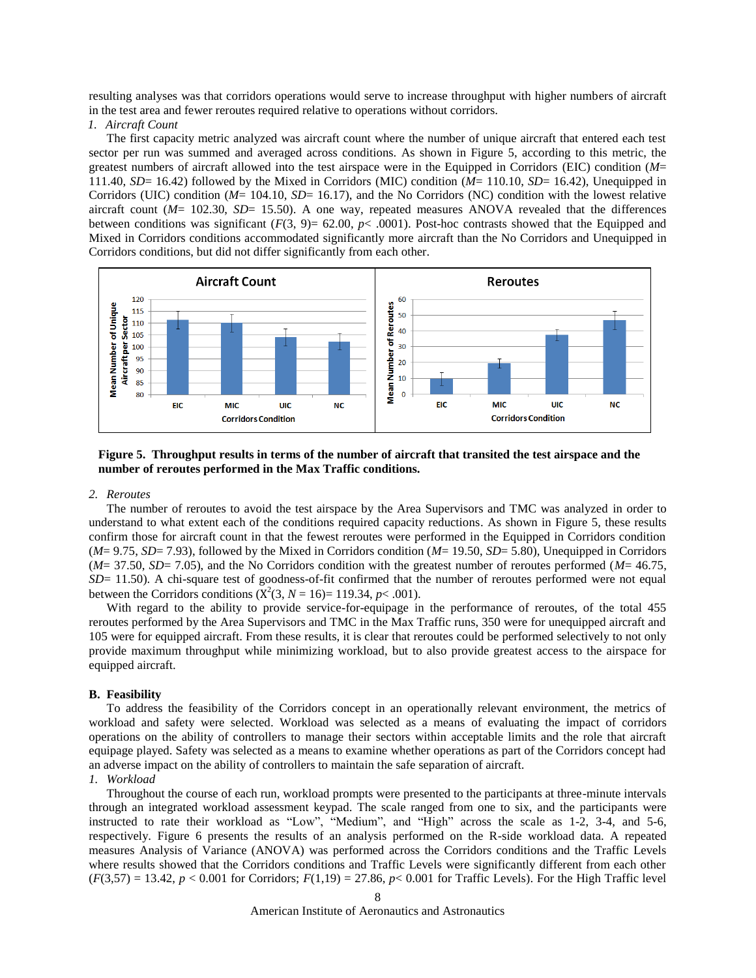resulting analyses was that corridors operations would serve to increase throughput with higher numbers of aircraft in the test area and fewer reroutes required relative to operations without corridors.

#### *1. Aircraft Count*

The first capacity metric analyzed was aircraft count where the number of unique aircraft that entered each test sector per run was summed and averaged across conditions. As shown in Figure 5, according to this metric, the greatest numbers of aircraft allowed into the test airspace were in the Equipped in Corridors (EIC) condition (*M*= 111.40, *SD*= 16.42) followed by the Mixed in Corridors (MIC) condition (*M*= 110.10, *SD*= 16.42), Unequipped in Corridors (UIC) condition (*M*= 104.10, *SD*= 16.17), and the No Corridors (NC) condition with the lowest relative aircraft count (*M*= 102.30, *SD*= 15.50). A one way, repeated measures ANOVA revealed that the differences between conditions was significant  $(F(3, 9) = 62.00, p < .0001)$ . Post-hoc contrasts showed that the Equipped and Mixed in Corridors conditions accommodated significantly more aircraft than the No Corridors and Unequipped in Corridors conditions, but did not differ significantly from each other.



## **Figure 5. Throughput results in terms of the number of aircraft that transited the test airspace and the number of reroutes performed in the Max Traffic conditions.**

#### *2. Reroutes*

The number of reroutes to avoid the test airspace by the Area Supervisors and TMC was analyzed in order to understand to what extent each of the conditions required capacity reductions. As shown in Figure 5, these results confirm those for aircraft count in that the fewest reroutes were performed in the Equipped in Corridors condition (*M*= 9.75, *SD*= 7.93), followed by the Mixed in Corridors condition (*M*= 19.50, *SD*= 5.80), Unequipped in Corridors (*M*= 37.50, *SD*= 7.05), and the No Corridors condition with the greatest number of reroutes performed (*M*= 46.75, *SD*= 11.50). A chi-square test of goodness-of-fit confirmed that the number of reroutes performed were not equal between the Corridors conditions  $(X^2(3, N = 16) = 119.34, p < .001)$ .

With regard to the ability to provide service-for-equipage in the performance of reroutes, of the total 455 reroutes performed by the Area Supervisors and TMC in the Max Traffic runs, 350 were for unequipped aircraft and 105 were for equipped aircraft. From these results, it is clear that reroutes could be performed selectively to not only provide maximum throughput while minimizing workload, but to also provide greatest access to the airspace for equipped aircraft.

#### **B. Feasibility**

To address the feasibility of the Corridors concept in an operationally relevant environment, the metrics of workload and safety were selected. Workload was selected as a means of evaluating the impact of corridors operations on the ability of controllers to manage their sectors within acceptable limits and the role that aircraft equipage played. Safety was selected as a means to examine whether operations as part of the Corridors concept had an adverse impact on the ability of controllers to maintain the safe separation of aircraft.

#### *1. Workload*

Throughout the course of each run, workload prompts were presented to the participants at three-minute intervals through an integrated workload assessment keypad. The scale ranged from one to six, and the participants were instructed to rate their workload as "Low", "Medium", and "High" across the scale as 1-2, 3-4, and 5-6, respectively. Figure 6 presents the results of an analysis performed on the R-side workload data. A repeated measures Analysis of Variance (ANOVA) was performed across the Corridors conditions and the Traffic Levels where results showed that the Corridors conditions and Traffic Levels were significantly different from each other  $(F(3,57) = 13.42, p < 0.001$  for Corridors;  $F(1,19) = 27.86, p < 0.001$  for Traffic Levels). For the High Traffic level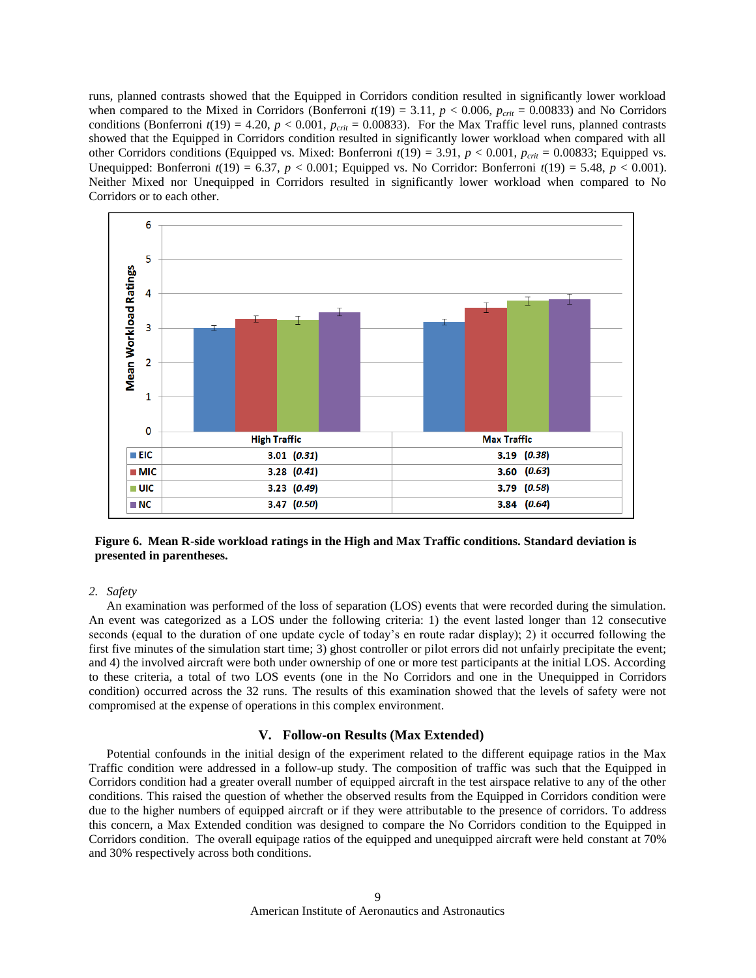runs, planned contrasts showed that the Equipped in Corridors condition resulted in significantly lower workload when compared to the Mixed in Corridors (Bonferroni  $t(19) = 3.11$ ,  $p < 0.006$ ,  $p_{crit} = 0.00833$ ) and No Corridors conditions (Bonferroni  $t(19) = 4.20$ ,  $p < 0.001$ ,  $p_{crit} = 0.00833$ ). For the Max Traffic level runs, planned contrasts showed that the Equipped in Corridors condition resulted in significantly lower workload when compared with all other Corridors conditions (Equipped vs. Mixed: Bonferroni  $t(19) = 3.91$ ,  $p < 0.001$ ,  $p_{crit} = 0.00833$ ; Equipped vs. Unequipped: Bonferroni  $t(19) = 6.37$ ,  $p < 0.001$ ; Equipped vs. No Corridor: Bonferroni  $t(19) = 5.48$ ,  $p < 0.001$ ). Neither Mixed nor Unequipped in Corridors resulted in significantly lower workload when compared to No Corridors or to each other.



**Figure 6. Mean R-side workload ratings in the High and Max Traffic conditions. Standard deviation is presented in parentheses.**

## *2. Safety*

An examination was performed of the loss of separation (LOS) events that were recorded during the simulation. An event was categorized as a LOS under the following criteria: 1) the event lasted longer than 12 consecutive seconds (equal to the duration of one update cycle of today's en route radar display); 2) it occurred following the first five minutes of the simulation start time; 3) ghost controller or pilot errors did not unfairly precipitate the event; and 4) the involved aircraft were both under ownership of one or more test participants at the initial LOS. According to these criteria, a total of two LOS events (one in the No Corridors and one in the Unequipped in Corridors condition) occurred across the 32 runs. The results of this examination showed that the levels of safety were not compromised at the expense of operations in this complex environment.

#### **V. Follow-on Results (Max Extended)**

Potential confounds in the initial design of the experiment related to the different equipage ratios in the Max Traffic condition were addressed in a follow-up study. The composition of traffic was such that the Equipped in Corridors condition had a greater overall number of equipped aircraft in the test airspace relative to any of the other conditions. This raised the question of whether the observed results from the Equipped in Corridors condition were due to the higher numbers of equipped aircraft or if they were attributable to the presence of corridors. To address this concern, a Max Extended condition was designed to compare the No Corridors condition to the Equipped in Corridors condition. The overall equipage ratios of the equipped and unequipped aircraft were held constant at 70% and 30% respectively across both conditions.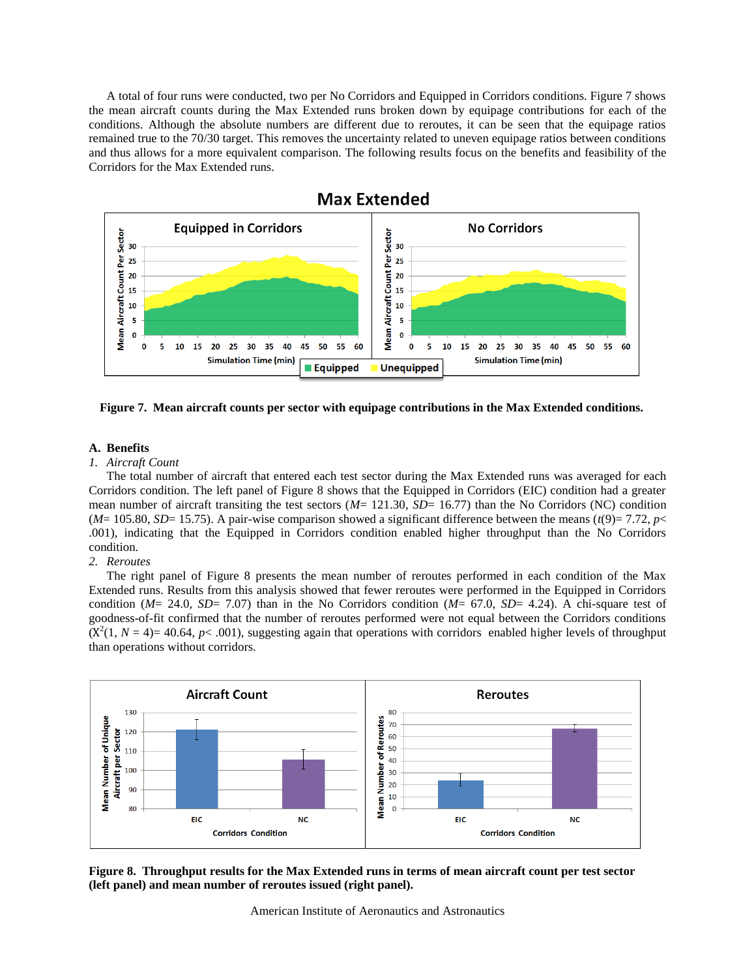A total of four runs were conducted, two per No Corridors and Equipped in Corridors conditions. Figure 7 shows the mean aircraft counts during the Max Extended runs broken down by equipage contributions for each of the conditions. Although the absolute numbers are different due to reroutes, it can be seen that the equipage ratios remained true to the 70/30 target. This removes the uncertainty related to uneven equipage ratios between conditions and thus allows for a more equivalent comparison. The following results focus on the benefits and feasibility of the Corridors for the Max Extended runs.



**Figure 7. Mean aircraft counts per sector with equipage contributions in the Max Extended conditions.**

## **A. Benefits**

## *1. Aircraft Count*

The total number of aircraft that entered each test sector during the Max Extended runs was averaged for each Corridors condition. The left panel of Figure 8 shows that the Equipped in Corridors (EIC) condition had a greater mean number of aircraft transiting the test sectors (*M*= 121.30, *SD*= 16.77) than the No Corridors (NC) condition  $(M= 105.80, SD= 15.75)$ . A pair-wise comparison showed a significant difference between the means ( $t(9)= 7.72, p<$ .001), indicating that the Equipped in Corridors condition enabled higher throughput than the No Corridors condition.

#### *2. Reroutes*

The right panel of Figure 8 presents the mean number of reroutes performed in each condition of the Max Extended runs. Results from this analysis showed that fewer reroutes were performed in the Equipped in Corridors condition ( $M= 24.0$ ,  $SD= 7.07$ ) than in the No Corridors condition ( $M= 67.0$ ,  $SD= 4.24$ ). A chi-square test of goodness-of-fit confirmed that the number of reroutes performed were not equal between the Corridors conditions  $(X<sup>2</sup>(1, N = 4) = 40.64, p < .001)$ , suggesting again that operations with corridors enabled higher levels of throughput than operations without corridors.



10 **Figure 8. Throughput results for the Max Extended runs in terms of mean aircraft count per test sector (left panel) and mean number of reroutes issued (right panel).**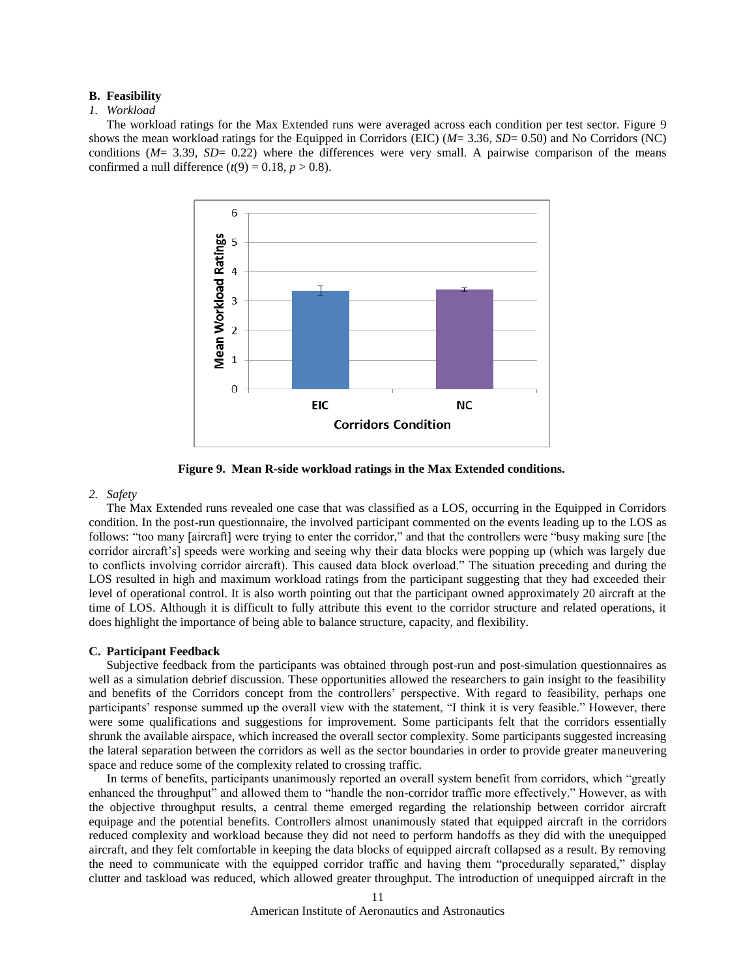## **B. Feasibility**

## *1. Workload*

The workload ratings for the Max Extended runs were averaged across each condition per test sector. Figure 9 shows the mean workload ratings for the Equipped in Corridors (EIC) (*M*= 3.36, *SD*= 0.50) and No Corridors (NC) conditions  $(M= 3.39, SD= 0.22)$  where the differences were very small. A pairwise comparison of the means confirmed a null difference  $(t(9) = 0.18, p > 0.8)$ .



**Figure 9. Mean R-side workload ratings in the Max Extended conditions.**

## *2. Safety*

The Max Extended runs revealed one case that was classified as a LOS, occurring in the Equipped in Corridors condition. In the post-run questionnaire, the involved participant commented on the events leading up to the LOS as follows: "too many [aircraft] were trying to enter the corridor," and that the controllers were "busy making sure [the corridor aircraft's] speeds were working and seeing why their data blocks were popping up (which was largely due to conflicts involving corridor aircraft). This caused data block overload." The situation preceding and during the LOS resulted in high and maximum workload ratings from the participant suggesting that they had exceeded their level of operational control. It is also worth pointing out that the participant owned approximately 20 aircraft at the time of LOS. Although it is difficult to fully attribute this event to the corridor structure and related operations, it does highlight the importance of being able to balance structure, capacity, and flexibility.

#### **C. Participant Feedback**

Subjective feedback from the participants was obtained through post-run and post-simulation questionnaires as well as a simulation debrief discussion. These opportunities allowed the researchers to gain insight to the feasibility and benefits of the Corridors concept from the controllers' perspective. With regard to feasibility, perhaps one participants' response summed up the overall view with the statement, "I think it is very feasible." However, there were some qualifications and suggestions for improvement. Some participants felt that the corridors essentially shrunk the available airspace, which increased the overall sector complexity. Some participants suggested increasing the lateral separation between the corridors as well as the sector boundaries in order to provide greater maneuvering space and reduce some of the complexity related to crossing traffic.

In terms of benefits, participants unanimously reported an overall system benefit from corridors, which "greatly enhanced the throughput" and allowed them to "handle the non-corridor traffic more effectively." However, as with the objective throughput results, a central theme emerged regarding the relationship between corridor aircraft equipage and the potential benefits. Controllers almost unanimously stated that equipped aircraft in the corridors reduced complexity and workload because they did not need to perform handoffs as they did with the unequipped aircraft, and they felt comfortable in keeping the data blocks of equipped aircraft collapsed as a result. By removing the need to communicate with the equipped corridor traffic and having them "procedurally separated," display clutter and taskload was reduced, which allowed greater throughput. The introduction of unequipped aircraft in the

American Institute of Aeronautics and Astronautics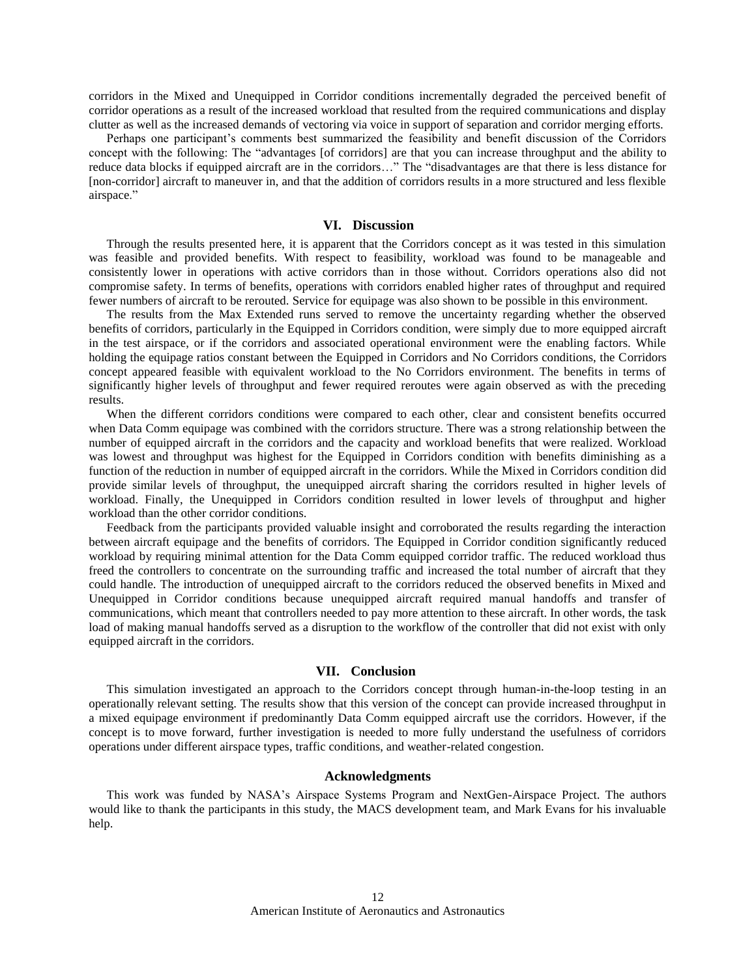corridors in the Mixed and Unequipped in Corridor conditions incrementally degraded the perceived benefit of corridor operations as a result of the increased workload that resulted from the required communications and display clutter as well as the increased demands of vectoring via voice in support of separation and corridor merging efforts.

Perhaps one participant's comments best summarized the feasibility and benefit discussion of the Corridors concept with the following: The "advantages [of corridors] are that you can increase throughput and the ability to reduce data blocks if equipped aircraft are in the corridors…" The "disadvantages are that there is less distance for [non-corridor] aircraft to maneuver in, and that the addition of corridors results in a more structured and less flexible airspace."

#### **VI. Discussion**

Through the results presented here, it is apparent that the Corridors concept as it was tested in this simulation was feasible and provided benefits. With respect to feasibility, workload was found to be manageable and consistently lower in operations with active corridors than in those without. Corridors operations also did not compromise safety. In terms of benefits, operations with corridors enabled higher rates of throughput and required fewer numbers of aircraft to be rerouted. Service for equipage was also shown to be possible in this environment.

The results from the Max Extended runs served to remove the uncertainty regarding whether the observed benefits of corridors, particularly in the Equipped in Corridors condition, were simply due to more equipped aircraft in the test airspace, or if the corridors and associated operational environment were the enabling factors. While holding the equipage ratios constant between the Equipped in Corridors and No Corridors conditions, the Corridors concept appeared feasible with equivalent workload to the No Corridors environment. The benefits in terms of significantly higher levels of throughput and fewer required reroutes were again observed as with the preceding results.

When the different corridors conditions were compared to each other, clear and consistent benefits occurred when Data Comm equipage was combined with the corridors structure. There was a strong relationship between the number of equipped aircraft in the corridors and the capacity and workload benefits that were realized. Workload was lowest and throughput was highest for the Equipped in Corridors condition with benefits diminishing as a function of the reduction in number of equipped aircraft in the corridors. While the Mixed in Corridors condition did provide similar levels of throughput, the unequipped aircraft sharing the corridors resulted in higher levels of workload. Finally, the Unequipped in Corridors condition resulted in lower levels of throughput and higher workload than the other corridor conditions.

Feedback from the participants provided valuable insight and corroborated the results regarding the interaction between aircraft equipage and the benefits of corridors. The Equipped in Corridor condition significantly reduced workload by requiring minimal attention for the Data Comm equipped corridor traffic. The reduced workload thus freed the controllers to concentrate on the surrounding traffic and increased the total number of aircraft that they could handle. The introduction of unequipped aircraft to the corridors reduced the observed benefits in Mixed and Unequipped in Corridor conditions because unequipped aircraft required manual handoffs and transfer of communications, which meant that controllers needed to pay more attention to these aircraft. In other words, the task load of making manual handoffs served as a disruption to the workflow of the controller that did not exist with only equipped aircraft in the corridors.

#### **VII. Conclusion**

This simulation investigated an approach to the Corridors concept through human-in-the-loop testing in an operationally relevant setting. The results show that this version of the concept can provide increased throughput in a mixed equipage environment if predominantly Data Comm equipped aircraft use the corridors. However, if the concept is to move forward, further investigation is needed to more fully understand the usefulness of corridors operations under different airspace types, traffic conditions, and weather-related congestion.

## **Acknowledgments**

This work was funded by NASA's Airspace Systems Program and NextGen-Airspace Project. The authors would like to thank the participants in this study, the MACS development team, and Mark Evans for his invaluable help.